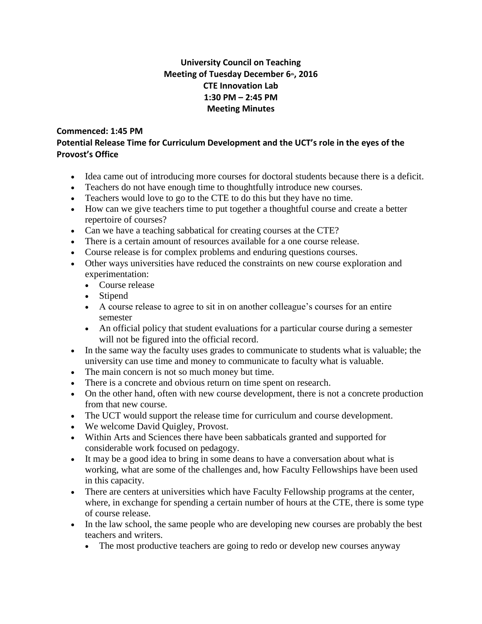## **University Council on Teaching Meeting of Tuesday December 6th, 2016 CTE Innovation Lab 1:30 PM – 2:45 PM Meeting Minutes**

## **Commenced: 1:45 PM**

## **Potential Release Time for Curriculum Development and the UCT's role in the eyes of the Provost's Office**

- Idea came out of introducing more courses for doctoral students because there is a deficit.
- Teachers do not have enough time to thoughtfully introduce new courses.
- Teachers would love to go to the CTE to do this but they have no time.
- How can we give teachers time to put together a thoughtful course and create a better repertoire of courses?
- Can we have a teaching sabbatical for creating courses at the CTE?
- There is a certain amount of resources available for a one course release.
- Course release is for complex problems and enduring questions courses.
- Other ways universities have reduced the constraints on new course exploration and experimentation:
	- Course release
	- Stipend
	- A course release to agree to sit in on another colleague's courses for an entire semester
	- An official policy that student evaluations for a particular course during a semester will not be figured into the official record.
- In the same way the faculty uses grades to communicate to students what is valuable; the university can use time and money to communicate to faculty what is valuable.
- The main concern is not so much money but time.
- There is a concrete and obvious return on time spent on research.
- On the other hand, often with new course development, there is not a concrete production from that new course.
- The UCT would support the release time for curriculum and course development.
- We welcome David Quigley, Provost.
- Within Arts and Sciences there have been sabbaticals granted and supported for considerable work focused on pedagogy.
- It may be a good idea to bring in some deans to have a conversation about what is working, what are some of the challenges and, how Faculty Fellowships have been used in this capacity.
- There are centers at universities which have Faculty Fellowship programs at the center, where, in exchange for spending a certain number of hours at the CTE, there is some type of course release.
- In the law school, the same people who are developing new courses are probably the best teachers and writers.
	- The most productive teachers are going to redo or develop new courses anyway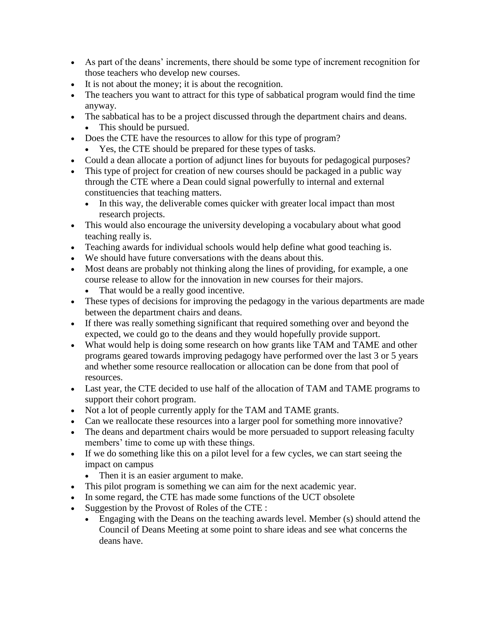- As part of the deans' increments, there should be some type of increment recognition for those teachers who develop new courses.
- It is not about the money; it is about the recognition.
- The teachers you want to attract for this type of sabbatical program would find the time anyway.
- The sabbatical has to be a project discussed through the department chairs and deans. • This should be pursued.
- Does the CTE have the resources to allow for this type of program?
	- Yes, the CTE should be prepared for these types of tasks.
- Could a dean allocate a portion of adjunct lines for buyouts for pedagogical purposes?
- This type of project for creation of new courses should be packaged in a public way through the CTE where a Dean could signal powerfully to internal and external constituencies that teaching matters.
	- In this way, the deliverable comes quicker with greater local impact than most research projects.
- This would also encourage the university developing a vocabulary about what good teaching really is.
- Teaching awards for individual schools would help define what good teaching is.
- We should have future conversations with the deans about this.
- Most deans are probably not thinking along the lines of providing, for example, a one course release to allow for the innovation in new courses for their majors.
	- That would be a really good incentive.
- These types of decisions for improving the pedagogy in the various departments are made between the department chairs and deans.
- If there was really something significant that required something over and beyond the expected, we could go to the deans and they would hopefully provide support.
- What would help is doing some research on how grants like TAM and TAME and other programs geared towards improving pedagogy have performed over the last 3 or 5 years and whether some resource reallocation or allocation can be done from that pool of resources.
- Last year, the CTE decided to use half of the allocation of TAM and TAME programs to support their cohort program.
- Not a lot of people currently apply for the TAM and TAME grants.
- Can we reallocate these resources into a larger pool for something more innovative?
- The deans and department chairs would be more persuaded to support releasing faculty members' time to come up with these things.
- If we do something like this on a pilot level for a few cycles, we can start seeing the impact on campus
	- Then it is an easier argument to make.
- This pilot program is something we can aim for the next academic year.
- In some regard, the CTE has made some functions of the UCT obsolete
- Suggestion by the Provost of Roles of the CTE :
	- Engaging with the Deans on the teaching awards level. Member (s) should attend the Council of Deans Meeting at some point to share ideas and see what concerns the deans have.